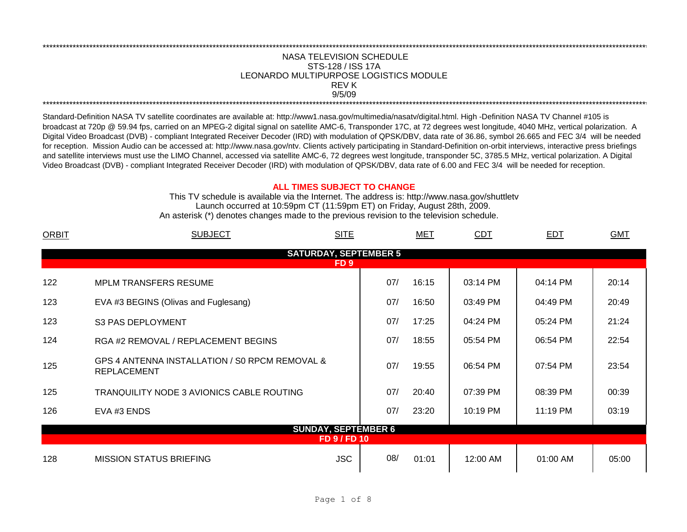## REV K NASA TELEVISION SCHEDULE STS-128 / ISS 17A 9/5/09 \*\*\*\*\*\*\*\*\*\*\*\*\*\*\*\*\*\*\*\*\*\*\*\*\*\*\*\*\*\*\*\*\*\*\*\*\*\*\*\*\*\*\*\*\*\*\*\*\*\*\*\*\*\*\*\*\*\*\*\*\*\*\*\*\*\*\*\*\*\*\*\*\*\*\*\*\*\*\*\*\*\*\*\*\*\*\*\*\*\*\*\*\*\*\*\*\*\*\*\*\*\*\*\*\*\*\*\*\*\*\*\*\*\*\*\*\*\*\*\*\*\*\*\*\*\*\*\*\*\*\*\*\*\*\*\*\*\*\*\*\*\*\*\*\*\*\*\*\*\*\*\*\*\*\*\*\*\*\*\*\*\*\*\*\*\*\*\*\*\*\*\*\*\*\*\*\*\*\*\*\*\*\*\*\* LEONARDO MULTIPURPOSE LOGISTICS MODULE

\*\*\*\*\*\*\*\*\*\*\*\*\*\*\*\*\*\*\*\*\*\*\*\*\*\*\*\*\*\*\*\*\*\*\*\*\*\*\*\*\*\*\*\*\*\*\*\*\*\*\*\*\*\*\*\*\*\*\*\*\*\*\*\*\*\*\*\*\*\*\*\*\*\*\*\*\*\*\*\*\*\*\*\*\*\*\*\*\*\*\*\*\*\*\*\*\*\*\*\*\*\*\*\*\*\*\*\*\*\*\*\*\*\*\*\*\*\*\*\*\*\*\*\*\*\*\*\*\*\*\*\*\*\*\*\*\*\*\*\*\*\*\*\*\*\*\*\*\*\*\*\*\*\*\*\*\*\*\*\*\*\*\*\*\*\*\*\*\*\*\*\*\*\*\*\*\*\*\*\*\*\*\*\*\*

Standard-Definition NASA TV satellite coordinates are available at: http://www1.nasa.gov/multimedia/nasatv/digital.html. High -Definition NASA TV Channel #105 is broadcast at 720p @ 59.94 fps, carried on an MPEG-2 digital signal on satellite AMC-6, Transponder 17C, at 72 degrees west longitude, 4040 MHz, vertical polarization. A Digital Video Broadcast (DVB) - compliant Integrated Receiver Decoder (IRD) with modulation of QPSK/DBV, data rate of 36.86, symbol 26.665 and FEC 3/4 will be needed for reception. Mission Audio can be accessed at: http://www.nasa.gov/ntv. Clients actively participating in Standard-Definition on-orbit interviews, interactive press briefings and satellite interviews must use the LIMO Channel, accessed via satellite AMC-6, 72 degrees west longitude, transponder 5C, 3785.5 MHz, vertical polarization. A Digital Video Broadcast (DVB) - compliant Integrated Receiver Decoder (IRD) with modulation of QPSK/DBV, data rate of 6.00 and FEC 3/4 will be needed for reception.

## **ALL TIMES SUBJECT TO CHANGE**

Launch occurred at 10:59pm CT (11:59pm ET) on Friday, August 28th, 2009. An asterisk (\*) denotes changes made to the previous revision to the television schedule. This TV schedule is available via the Internet. The address is: http://www.nasa.gov/shuttletv

| <b>ORBIT</b> | <b>SITE</b><br><b>SUBJECT</b>                                                                                                                                                                                                                                                                                                                                                                                                                                                                                                                                                                                                |              |     | MET   | <b>CDT</b> | <b>EDT</b> | <b>GMT</b> |  |
|--------------|------------------------------------------------------------------------------------------------------------------------------------------------------------------------------------------------------------------------------------------------------------------------------------------------------------------------------------------------------------------------------------------------------------------------------------------------------------------------------------------------------------------------------------------------------------------------------------------------------------------------------|--------------|-----|-------|------------|------------|------------|--|
|              | <b>SATURDAY, SEPTEMBER 5</b><br>FD <sub>9</sub><br>07/<br>16:15<br>03:14 PM<br>04:14 PM<br>20:14<br><b>MPLM TRANSFERS RESUME</b><br>07/<br>EVA #3 BEGINS (Olivas and Fuglesang)<br>16:50<br>03:49 PM<br>04:49 PM<br>20:49<br>07/<br>17:25<br>05:24 PM<br>21:24<br>04:24 PM<br><b>S3 PAS DEPLOYMENT</b><br>07/<br>22:54<br>18:55<br>05:54 PM<br>06:54 PM<br>RGA #2 REMOVAL / REPLACEMENT BEGINS<br>GPS 4 ANTENNA INSTALLATION / SO RPCM REMOVAL &<br>07/<br>19:55<br>06:54 PM<br>07:54 PM<br>23:54<br><b>REPLACEMENT</b><br>07/<br>20:40<br>07:39 PM<br>08:39 PM<br>00:39<br><b>TRANQUILITY NODE 3 AVIONICS CABLE ROUTING</b> |              |     |       |            |            |            |  |
|              |                                                                                                                                                                                                                                                                                                                                                                                                                                                                                                                                                                                                                              |              |     |       |            |            |            |  |
| 122          |                                                                                                                                                                                                                                                                                                                                                                                                                                                                                                                                                                                                                              |              |     |       |            |            |            |  |
| 123          |                                                                                                                                                                                                                                                                                                                                                                                                                                                                                                                                                                                                                              |              |     |       |            |            |            |  |
| 123          |                                                                                                                                                                                                                                                                                                                                                                                                                                                                                                                                                                                                                              |              |     |       |            |            |            |  |
| 124          |                                                                                                                                                                                                                                                                                                                                                                                                                                                                                                                                                                                                                              |              |     |       |            |            |            |  |
| 125          |                                                                                                                                                                                                                                                                                                                                                                                                                                                                                                                                                                                                                              |              |     |       |            |            |            |  |
| 125          |                                                                                                                                                                                                                                                                                                                                                                                                                                                                                                                                                                                                                              |              |     |       |            |            |            |  |
| 126          | EVA #3 ENDS                                                                                                                                                                                                                                                                                                                                                                                                                                                                                                                                                                                                                  |              | 07/ | 23:20 | 10:19 PM   | 11:19 PM   | 03:19      |  |
|              | <b>SUNDAY, SEPTEMBER 6</b>                                                                                                                                                                                                                                                                                                                                                                                                                                                                                                                                                                                                   |              |     |       |            |            |            |  |
|              |                                                                                                                                                                                                                                                                                                                                                                                                                                                                                                                                                                                                                              | FD 9 / FD 10 |     |       |            |            |            |  |
| 128          | <b>MISSION STATUS BRIEFING</b>                                                                                                                                                                                                                                                                                                                                                                                                                                                                                                                                                                                               | <b>JSC</b>   | 08/ | 01:01 | 12:00 AM   | 01:00 AM   | 05:00      |  |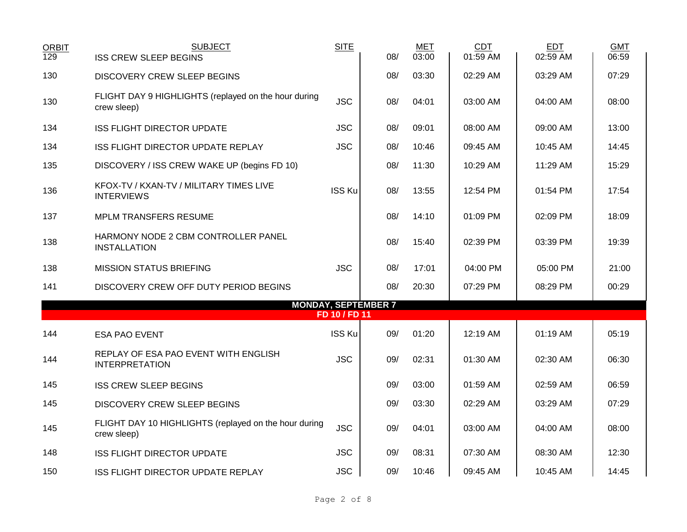| <b>ORBIT</b><br>129 | <b>SUBJECT</b><br><b>ISS CREW SLEEP BEGINS</b>                       | <b>SITE</b>   | 08/                        | <b>MET</b><br>03:00 | <b>CDT</b><br>01:59 AM | <b>EDT</b><br>02:59 AM | <b>GMT</b><br>06:59 |
|---------------------|----------------------------------------------------------------------|---------------|----------------------------|---------------------|------------------------|------------------------|---------------------|
| 130                 | <b>DISCOVERY CREW SLEEP BEGINS</b>                                   |               | 08/                        | 03:30               | 02:29 AM               | 03:29 AM               | 07:29               |
| 130                 | FLIGHT DAY 9 HIGHLIGHTS (replayed on the hour during<br>crew sleep)  | <b>JSC</b>    | 08/                        | 04:01               | 03:00 AM               | 04:00 AM               | 08:00               |
| 134                 | <b>ISS FLIGHT DIRECTOR UPDATE</b>                                    | <b>JSC</b>    | 08/                        | 09:01               | 08:00 AM               | 09:00 AM               | 13:00               |
| 134                 | ISS FLIGHT DIRECTOR UPDATE REPLAY                                    | <b>JSC</b>    | 08/                        | 10:46               | 09:45 AM               | 10:45 AM               | 14:45               |
| 135                 | DISCOVERY / ISS CREW WAKE UP (begins FD 10)                          |               | 08/                        | 11:30               | 10:29 AM               | 11:29 AM               | 15:29               |
| 136                 | KFOX-TV / KXAN-TV / MILITARY TIMES LIVE<br><b>INTERVIEWS</b>         | <b>ISS Ku</b> | 08/                        | 13:55               | 12:54 PM               | 01:54 PM               | 17:54               |
| 137                 | <b>MPLM TRANSFERS RESUME</b>                                         |               | 08/                        | 14:10               | 01:09 PM               | 02:09 PM               | 18:09               |
| 138                 | HARMONY NODE 2 CBM CONTROLLER PANEL<br><b>INSTALLATION</b>           |               | 08/                        | 15:40               | 02:39 PM               | 03:39 PM               | 19:39               |
| 138                 | <b>MISSION STATUS BRIEFING</b>                                       | <b>JSC</b>    | 08/                        | 17:01               | 04:00 PM               | 05:00 PM               | 21:00               |
| 141                 | DISCOVERY CREW OFF DUTY PERIOD BEGINS                                |               | 08/                        | 20:30               | 07:29 PM               | 08:29 PM               | 00:29               |
|                     |                                                                      | FD 10 / FD 11 | <b>MONDAY, SEPTEMBER 7</b> |                     |                        |                        |                     |
| 144                 | <b>ESA PAO EVENT</b>                                                 | <b>ISS Ku</b> | 09/                        | 01:20               | 12:19 AM               | 01:19 AM               | 05:19               |
| 144                 | REPLAY OF ESA PAO EVENT WITH ENGLISH<br><b>INTERPRETATION</b>        | <b>JSC</b>    | 09/                        | 02:31               | 01:30 AM               | 02:30 AM               | 06:30               |
| 145                 | <b>ISS CREW SLEEP BEGINS</b>                                         |               | 09/                        | 03:00               | 01:59 AM               | 02:59 AM               | 06:59               |
| 145                 | <b>DISCOVERY CREW SLEEP BEGINS</b>                                   |               | 09/                        | 03:30               | 02:29 AM               | 03:29 AM               | 07:29               |
| 145                 | FLIGHT DAY 10 HIGHLIGHTS (replayed on the hour during<br>crew sleep) | <b>JSC</b>    | 09/                        | 04:01               | 03:00 AM               | 04:00 AM               | 08:00               |
| 148                 | <b>ISS FLIGHT DIRECTOR UPDATE</b>                                    | <b>JSC</b>    | 09/                        | 08:31               | 07:30 AM               | 08:30 AM               | 12:30               |
| 150                 | ISS FLIGHT DIRECTOR UPDATE REPLAY                                    | <b>JSC</b>    | 09/                        | 10:46               | 09:45 AM               | 10:45 AM               | 14:45               |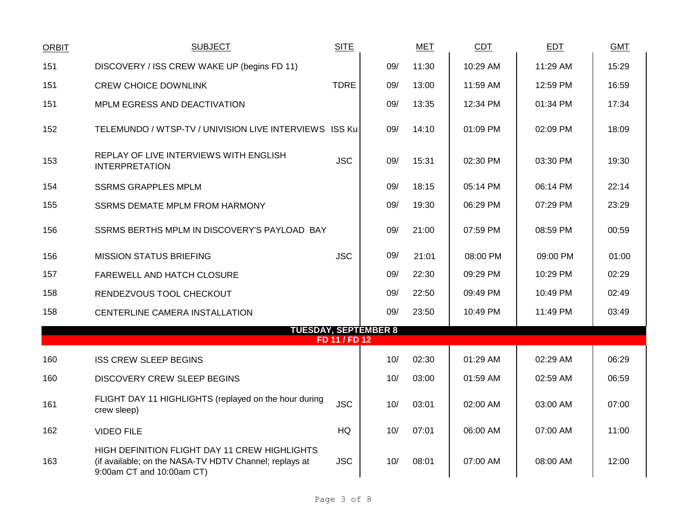| <b>ORBIT</b> | <b>SUBJECT</b>                                                                                                                       | <b>SITE</b>   |                             | <b>MET</b> | <b>CDT</b> | <b>EDT</b> | <b>GMT</b> |
|--------------|--------------------------------------------------------------------------------------------------------------------------------------|---------------|-----------------------------|------------|------------|------------|------------|
| 151          | DISCOVERY / ISS CREW WAKE UP (begins FD 11)                                                                                          |               | 09/                         | 11:30      | 10:29 AM   | 11:29 AM   | 15:29      |
| 151          | <b>CREW CHOICE DOWNLINK</b>                                                                                                          | <b>TDRE</b>   | 09/                         | 13:00      | 11:59 AM   | 12:59 PM   | 16:59      |
| 151          | MPLM EGRESS AND DEACTIVATION                                                                                                         |               | 09/                         | 13:35      | 12:34 PM   | 01:34 PM   | 17:34      |
| 152          | TELEMUNDO / WTSP-TV / UNIVISION LIVE INTERVIEWS ISS Ku                                                                               |               | 09/                         | 14:10      | 01:09 PM   | 02:09 PM   | 18:09      |
| 153          | REPLAY OF LIVE INTERVIEWS WITH ENGLISH<br><b>INTERPRETATION</b>                                                                      | <b>JSC</b>    | 09/                         | 15:31      | 02:30 PM   | 03:30 PM   | 19:30      |
| 154          | <b>SSRMS GRAPPLES MPLM</b>                                                                                                           |               | 09/                         | 18:15      | 05:14 PM   | 06:14 PM   | 22:14      |
| 155          | <b>SSRMS DEMATE MPLM FROM HARMONY</b>                                                                                                |               | 09/                         | 19:30      | 06:29 PM   | 07:29 PM   | 23:29      |
| 156          | SSRMS BERTHS MPLM IN DISCOVERY'S PAYLOAD BAY                                                                                         |               | 09/                         | 21:00      | 07:59 PM   | 08:59 PM   | 00:59      |
| 156          | <b>MISSION STATUS BRIEFING</b>                                                                                                       | <b>JSC</b>    | 09/                         | 21:01      | 08:00 PM   | 09:00 PM   | 01:00      |
| 157          | FAREWELL AND HATCH CLOSURE                                                                                                           |               | 09/                         | 22:30      | 09:29 PM   | 10:29 PM   | 02:29      |
| 158          | RENDEZVOUS TOOL CHECKOUT                                                                                                             |               | 09/                         | 22:50      | 09:49 PM   | 10:49 PM   | 02:49      |
| 158          | CENTERLINE CAMERA INSTALLATION                                                                                                       |               | 09/                         | 23:50      | 10:49 PM   | 11:49 PM   | 03:49      |
|              |                                                                                                                                      | FD 11 / FD 12 | <b>TUESDAY, SEPTEMBER 8</b> |            |            |            |            |
| 160          | <b>ISS CREW SLEEP BEGINS</b>                                                                                                         |               | 10/                         | 02:30      | 01:29 AM   | 02:29 AM   | 06:29      |
| 160          | <b>DISCOVERY CREW SLEEP BEGINS</b>                                                                                                   |               | 10/                         | 03:00      | 01:59 AM   | 02:59 AM   | 06:59      |
| 161          | FLIGHT DAY 11 HIGHLIGHTS (replayed on the hour during<br>crew sleep)                                                                 | <b>JSC</b>    | 10/                         | 03:01      | 02:00 AM   | 03:00 AM   | 07:00      |
| 162          | <b>VIDEO FILE</b>                                                                                                                    | HQ            | 10/                         | 07:01      | 06:00 AM   | 07:00 AM   | 11:00      |
| 163          | HIGH DEFINITION FLIGHT DAY 11 CREW HIGHLIGHTS<br>(if available; on the NASA-TV HDTV Channel; replays at<br>9:00am CT and 10:00am CT) | <b>JSC</b>    | 10/                         | 08:01      | 07:00 AM   | 08:00 AM   | 12:00      |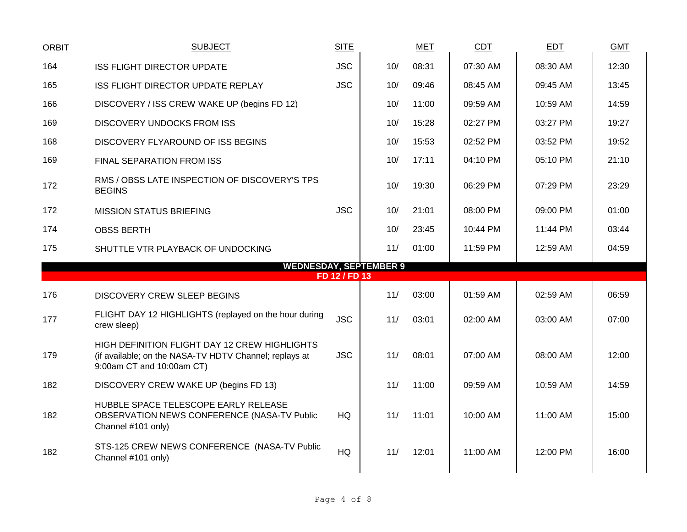| <b>ORBIT</b> | <b>SUBJECT</b>                                                                                                                       | <b>SITE</b>   |     | <b>MET</b> | <b>CDT</b> | EDT      | <b>GMT</b> |
|--------------|--------------------------------------------------------------------------------------------------------------------------------------|---------------|-----|------------|------------|----------|------------|
| 164          | <b>ISS FLIGHT DIRECTOR UPDATE</b>                                                                                                    | <b>JSC</b>    | 10/ | 08:31      | 07:30 AM   | 08:30 AM | 12:30      |
| 165          | ISS FLIGHT DIRECTOR UPDATE REPLAY                                                                                                    | <b>JSC</b>    | 10/ | 09:46      | 08:45 AM   | 09:45 AM | 13:45      |
| 166          | DISCOVERY / ISS CREW WAKE UP (begins FD 12)                                                                                          |               | 10/ | 11:00      | 09:59 AM   | 10:59 AM | 14:59      |
| 169          | <b>DISCOVERY UNDOCKS FROM ISS</b>                                                                                                    |               | 10/ | 15:28      | 02:27 PM   | 03:27 PM | 19:27      |
| 168          | DISCOVERY FLYAROUND OF ISS BEGINS                                                                                                    |               | 10/ | 15:53      | 02:52 PM   | 03:52 PM | 19:52      |
| 169          | FINAL SEPARATION FROM ISS                                                                                                            |               | 10/ | 17:11      | 04:10 PM   | 05:10 PM | 21:10      |
| 172          | RMS / OBSS LATE INSPECTION OF DISCOVERY'S TPS<br><b>BEGINS</b>                                                                       |               | 10/ | 19:30      | 06:29 PM   | 07:29 PM | 23:29      |
| 172          | <b>MISSION STATUS BRIEFING</b>                                                                                                       | <b>JSC</b>    | 10/ | 21:01      | 08:00 PM   | 09:00 PM | 01:00      |
| 174          | <b>OBSS BERTH</b>                                                                                                                    |               | 10/ | 23:45      | 10:44 PM   | 11:44 PM | 03:44      |
| 175          | SHUTTLE VTR PLAYBACK OF UNDOCKING                                                                                                    |               | 11/ | 01:00      | 11:59 PM   | 12:59 AM | 04:59      |
|              | <b>WEDNESDAY, SEPTEMBER 9</b>                                                                                                        | FD 12 / FD 13 |     |            |            |          |            |
| 176          | <b>DISCOVERY CREW SLEEP BEGINS</b>                                                                                                   |               | 11/ | 03:00      | 01:59 AM   | 02:59 AM | 06:59      |
| 177          | FLIGHT DAY 12 HIGHLIGHTS (replayed on the hour during<br>crew sleep)                                                                 | <b>JSC</b>    | 11/ | 03:01      | 02:00 AM   | 03:00 AM | 07:00      |
| 179          | HIGH DEFINITION FLIGHT DAY 12 CREW HIGHLIGHTS<br>(if available; on the NASA-TV HDTV Channel; replays at<br>9:00am CT and 10:00am CT) | <b>JSC</b>    | 11/ | 08:01      | 07:00 AM   | 08:00 AM | 12:00      |
| 182          | DISCOVERY CREW WAKE UP (begins FD 13)                                                                                                |               | 11/ | 11:00      | 09:59 AM   | 10:59 AM | 14:59      |
| 182          | HUBBLE SPACE TELESCOPE EARLY RELEASE<br>OBSERVATION NEWS CONFERENCE (NASA-TV Public<br>Channel #101 only)                            | <b>HQ</b>     | 11/ | 11:01      | 10:00 AM   | 11:00 AM | 15:00      |
| 182          | STS-125 CREW NEWS CONFERENCE (NASA-TV Public<br>Channel #101 only)                                                                   | HQ            | 11/ | 12:01      | 11:00 AM   | 12:00 PM | 16:00      |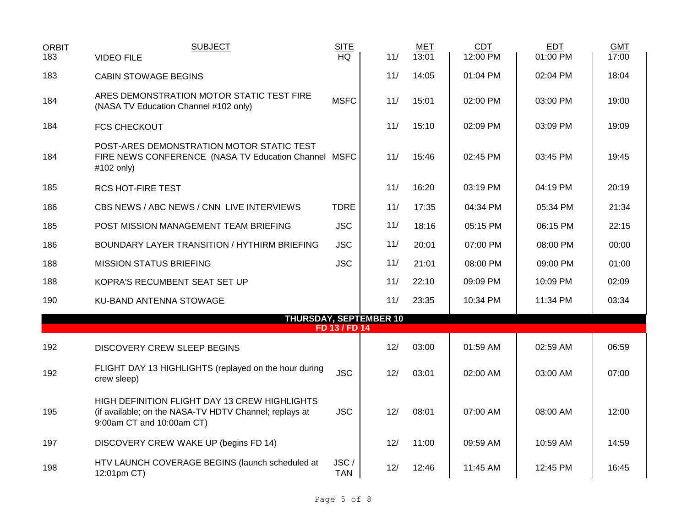| <b>ORBIT</b> | <b>SUBJECT</b>                                                                                                                       | <b>SITE</b>        |                               | MET   | <b>CDT</b> | <b>EDT</b> | <b>GMT</b> |
|--------------|--------------------------------------------------------------------------------------------------------------------------------------|--------------------|-------------------------------|-------|------------|------------|------------|
| 183          | <b>VIDEO FILE</b>                                                                                                                    | <b>HQ</b>          | 11/                           | 13:01 | 12:00 PM   | 01:00 PM   | 17:00      |
| 183          | <b>CABIN STOWAGE BEGINS</b>                                                                                                          |                    | 11/                           | 14:05 | 01:04 PM   | 02:04 PM   | 18:04      |
| 184          | ARES DEMONSTRATION MOTOR STATIC TEST FIRE<br>(NASA TV Education Channel #102 only)                                                   | <b>MSFC</b>        | 11/                           | 15:01 | 02:00 PM   | 03:00 PM   | 19:00      |
| 184          | <b>FCS CHECKOUT</b>                                                                                                                  |                    | 11/                           | 15:10 | 02:09 PM   | 03:09 PM   | 19:09      |
| 184          | POST-ARES DEMONSTRATION MOTOR STATIC TEST<br>FIRE NEWS CONFERENCE (NASA TV Education Channel MSFC<br>#102 only)                      |                    | 11/                           | 15:46 | 02:45 PM   | 03:45 PM   | 19:45      |
| 185          | <b>RCS HOT-FIRE TEST</b>                                                                                                             |                    | 11/                           | 16:20 | 03:19 PM   | 04:19 PM   | 20:19      |
| 186          | CBS NEWS / ABC NEWS / CNN LIVE INTERVIEWS                                                                                            | <b>TDRE</b>        | 11/                           | 17:35 | 04:34 PM   | 05:34 PM   | 21:34      |
| 185          | POST MISSION MANAGEMENT TEAM BRIEFING                                                                                                | <b>JSC</b>         | 11/                           | 18:16 | 05:15 PM   | 06:15 PM   | 22:15      |
| 186          | BOUNDARY LAYER TRANSITION / HYTHIRM BRIEFING                                                                                         | <b>JSC</b>         | 11/                           | 20:01 | 07:00 PM   | 08:00 PM   | 00:00      |
| 188          | <b>MISSION STATUS BRIEFING</b>                                                                                                       | <b>JSC</b>         | 11/                           | 21:01 | 08:00 PM   | 09:00 PM   | 01:00      |
| 188          | KOPRA'S RECUMBENT SEAT SET UP                                                                                                        |                    | 11/                           | 22:10 | 09:09 PM   | 10:09 PM   | 02:09      |
| 190          | KU-BAND ANTENNA STOWAGE                                                                                                              |                    | 11/                           | 23:35 | 10:34 PM   | 11:34 PM   | 03:34      |
|              |                                                                                                                                      | FD 13 / FD 14      | <b>THURSDAY, SEPTEMBER 10</b> |       |            |            |            |
| 192          | <b>DISCOVERY CREW SLEEP BEGINS</b>                                                                                                   |                    | 12/                           | 03:00 | 01:59 AM   | 02:59 AM   | 06:59      |
| 192          | FLIGHT DAY 13 HIGHLIGHTS (replayed on the hour during<br>crew sleep)                                                                 | <b>JSC</b>         | 12/                           | 03:01 | 02:00 AM   | 03:00 AM   | 07:00      |
| 195          | HIGH DEFINITION FLIGHT DAY 13 CREW HIGHLIGHTS<br>(if available; on the NASA-TV HDTV Channel; replays at<br>9:00am CT and 10:00am CT) | <b>JSC</b>         | 12/                           | 08:01 | 07:00 AM   | 08:00 AM   | 12:00      |
| 197          | DISCOVERY CREW WAKE UP (begins FD 14)                                                                                                |                    | 12/                           | 11:00 | 09:59 AM   | 10:59 AM   | 14:59      |
| 198          | HTV LAUNCH COVERAGE BEGINS (launch scheduled at<br>12:01pm CT)                                                                       | JSC/<br><b>TAN</b> | 12/                           | 12:46 | 11:45 AM   | 12:45 PM   | 16:45      |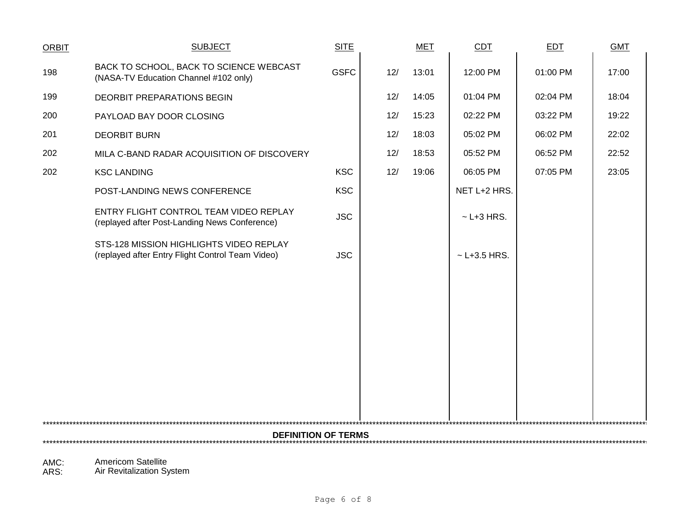| <b>ORBIT</b> | <b>SUBJECT</b>                                                                              | <b>SITE</b> |     | <b>MET</b> | CDT              | <b>EDT</b> | <b>GMT</b> |  |
|--------------|---------------------------------------------------------------------------------------------|-------------|-----|------------|------------------|------------|------------|--|
| 198          | BACK TO SCHOOL, BACK TO SCIENCE WEBCAST<br>(NASA-TV Education Channel #102 only)            | <b>GSFC</b> | 12/ | 13:01      | 12:00 PM         | 01:00 PM   | 17:00      |  |
| 199          | DEORBIT PREPARATIONS BEGIN                                                                  |             | 12/ | 14:05      | 01:04 PM         | 02:04 PM   | 18:04      |  |
| 200          | PAYLOAD BAY DOOR CLOSING                                                                    |             | 12/ | 15:23      | 02:22 PM         | 03:22 PM   | 19:22      |  |
| 201          | <b>DEORBIT BURN</b>                                                                         |             | 12/ | 18:03      | 05:02 PM         | 06:02 PM   | 22:02      |  |
| 202          | MILA C-BAND RADAR ACQUISITION OF DISCOVERY                                                  |             | 12/ | 18:53      | 05:52 PM         | 06:52 PM   | 22:52      |  |
| 202          | <b>KSC LANDING</b>                                                                          | <b>KSC</b>  | 12/ | 19:06      | 06:05 PM         | 07:05 PM   | 23:05      |  |
|              | POST-LANDING NEWS CONFERENCE                                                                | <b>KSC</b>  |     |            | NET L+2 HRS.     |            |            |  |
|              | ENTRY FLIGHT CONTROL TEAM VIDEO REPLAY<br>(replayed after Post-Landing News Conference)     | <b>JSC</b>  |     |            | $~$ - L+3 HRS.   |            |            |  |
|              | STS-128 MISSION HIGHLIGHTS VIDEO REPLAY<br>(replayed after Entry Flight Control Team Video) | <b>JSC</b>  |     |            | $~$ - L+3.5 HRS. |            |            |  |
|              |                                                                                             |             |     |            |                  |            |            |  |
|              |                                                                                             |             |     |            |                  |            |            |  |
|              |                                                                                             |             |     |            |                  |            |            |  |
|              |                                                                                             |             |     |            |                  |            |            |  |
|              |                                                                                             |             |     |            |                  |            |            |  |
|              |                                                                                             |             |     |            |                  |            |            |  |
|              |                                                                                             |             |     |            |                  |            |            |  |
|              | <b>DEFINITION OF TERMS</b>                                                                  |             |     |            |                  |            |            |  |
|              |                                                                                             |             |     |            |                  |            |            |  |

AMC: Americom Satellite ARS: Air Revitalization System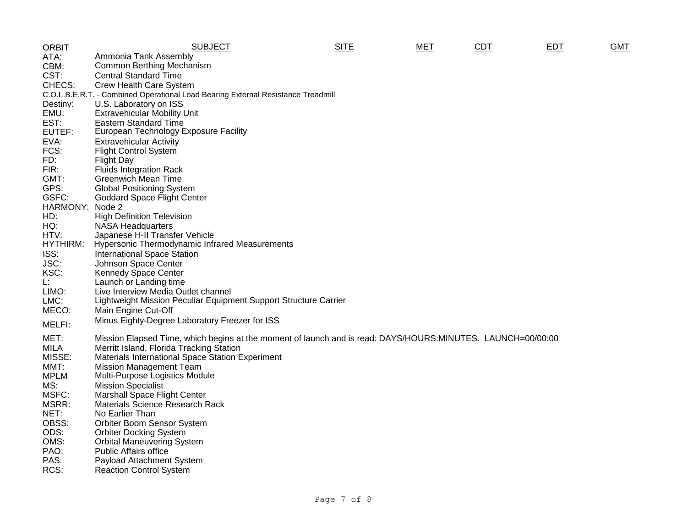| <b>ORBIT</b>     | <b>SUBJECT</b>                                                                                              | <b>SITE</b> | MET | CDT | EDT | <b>GMT</b> |
|------------------|-------------------------------------------------------------------------------------------------------------|-------------|-----|-----|-----|------------|
| ATA:             | Ammonia Tank Assembly                                                                                       |             |     |     |     |            |
| CBM:             | Common Berthing Mechanism                                                                                   |             |     |     |     |            |
| CST:             | <b>Central Standard Time</b>                                                                                |             |     |     |     |            |
| CHECS:           | Crew Health Care System                                                                                     |             |     |     |     |            |
|                  | C.O.L.B.E.R.T. - Combined Operational Load Bearing External Resistance Treadmill                            |             |     |     |     |            |
| Destiny:         | U.S. Laboratory on ISS                                                                                      |             |     |     |     |            |
| EMU:             | <b>Extravehicular Mobility Unit</b>                                                                         |             |     |     |     |            |
| EST:             | Eastern Standard Time                                                                                       |             |     |     |     |            |
| EUTEF:           | European Technology Exposure Facility                                                                       |             |     |     |     |            |
| EVA:             | <b>Extravehicular Activity</b>                                                                              |             |     |     |     |            |
| FCS:             | <b>Flight Control System</b>                                                                                |             |     |     |     |            |
| FD:              | <b>Flight Day</b>                                                                                           |             |     |     |     |            |
| FIR:             | <b>Fluids Integration Rack</b>                                                                              |             |     |     |     |            |
| GMT:             | <b>Greenwich Mean Time</b>                                                                                  |             |     |     |     |            |
| GPS:             | <b>Global Positioning System</b>                                                                            |             |     |     |     |            |
| GSFC:            | <b>Goddard Space Flight Center</b>                                                                          |             |     |     |     |            |
| HARMONY:         | Node 2                                                                                                      |             |     |     |     |            |
| HD:              | <b>High Definition Television</b>                                                                           |             |     |     |     |            |
| HQ:              |                                                                                                             |             |     |     |     |            |
|                  | <b>NASA Headquarters</b>                                                                                    |             |     |     |     |            |
| HTV:<br>HYTHIRM: | Japanese H-II Transfer Vehicle<br>Hypersonic Thermodynamic Infrared Measurements                            |             |     |     |     |            |
|                  |                                                                                                             |             |     |     |     |            |
| ISS:             | <b>International Space Station</b>                                                                          |             |     |     |     |            |
| JSC:             | Johnson Space Center                                                                                        |             |     |     |     |            |
| KSC:             | Kennedy Space Center                                                                                        |             |     |     |     |            |
| Ŀ.               | Launch or Landing time                                                                                      |             |     |     |     |            |
| LIMO:            | Live Interview Media Outlet channel                                                                         |             |     |     |     |            |
| LMC:             | Lightweight Mission Peculiar Equipment Support Structure Carrier                                            |             |     |     |     |            |
| MECO:            | Main Engine Cut-Off                                                                                         |             |     |     |     |            |
| MELFI:           | Minus Eighty-Degree Laboratory Freezer for ISS                                                              |             |     |     |     |            |
|                  |                                                                                                             |             |     |     |     |            |
| MET:             | Mission Elapsed Time, which begins at the moment of launch and is read: DAYS/HOURS:MINUTES. LAUNCH=00/00:00 |             |     |     |     |            |
| <b>MILA</b>      | Merritt Island, Florida Tracking Station                                                                    |             |     |     |     |            |
| MISSE:           | Materials International Space Station Experiment                                                            |             |     |     |     |            |
| MMT:             | <b>Mission Management Team</b>                                                                              |             |     |     |     |            |
| <b>MPLM</b>      | Multi-Purpose Logistics Module                                                                              |             |     |     |     |            |
| MS:              | <b>Mission Specialist</b>                                                                                   |             |     |     |     |            |
| MSFC:            | <b>Marshall Space Flight Center</b>                                                                         |             |     |     |     |            |
| MSRR:            | Materials Science Research Rack                                                                             |             |     |     |     |            |
| NET:             | No Earlier Than                                                                                             |             |     |     |     |            |
| OBSS:            | Orbiter Boom Sensor System                                                                                  |             |     |     |     |            |
| ODS:             | <b>Orbiter Docking System</b>                                                                               |             |     |     |     |            |
| OMS:             | <b>Orbital Maneuvering System</b>                                                                           |             |     |     |     |            |
| PAO:             | <b>Public Affairs office</b>                                                                                |             |     |     |     |            |
| PAS:             | Payload Attachment System                                                                                   |             |     |     |     |            |
| RCS:             | <b>Reaction Control System</b>                                                                              |             |     |     |     |            |